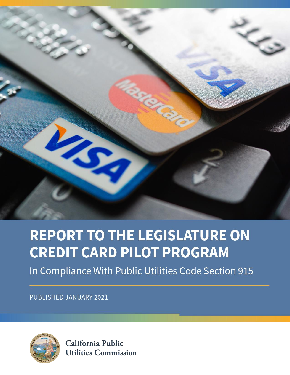

# **REPORT TO THE LEGISLATURE ON CREDIT CARD PILOT PROGRAM**

In Compliance With Public Utilities Code Section 915

**PUBLISHED JANUARY 2021** 



California Public **Utilities Commission**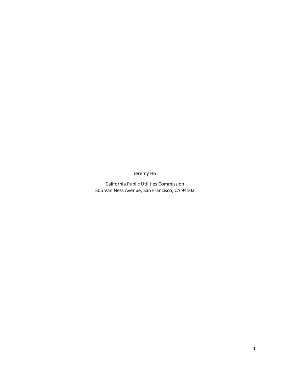Jeremy Ho

California Public Utilities Commission 505 Van Ness Avenue, San Francisco, CA 94102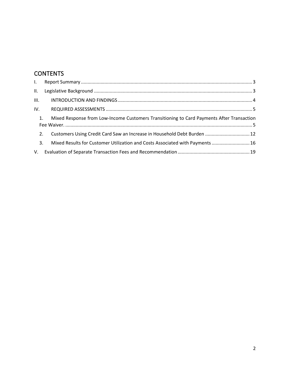# **CONTENTS**

| II.  |                                                                                           |  |
|------|-------------------------------------------------------------------------------------------|--|
| III. |                                                                                           |  |
| IV.  |                                                                                           |  |
| 1.   | Mixed Response from Low-Income Customers Transitioning to Card Payments After Transaction |  |
| 2.   | Customers Using Credit Card Saw an Increase in Household Debt Burden  12                  |  |
| 3.   | Mixed Results for Customer Utilization and Costs Associated with Payments  16             |  |
|      |                                                                                           |  |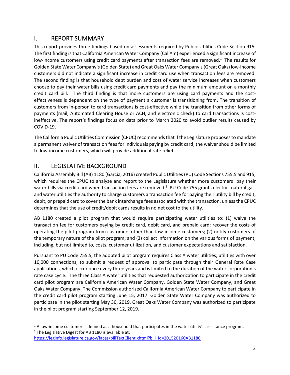## <span id="page-3-0"></span>I. REPORT SUMMARY

<span id="page-3-2"></span>This report provides three findings based on assessments required by Public Utilities Code Section 915. The first finding is that California American Water Company (Cal Am) experienced a significant increase of low-income customers using credit card payments after transaction fees are removed.<sup>1</sup> The results for Golden State Water Company's(Golden State) and Great Oaks Water Company's(Great Oaks) low-income customers did not indicate a significant increase in credit card use when transaction fees are removed. The second finding is that household debt burden and cost of water service increases when customers choose to pay their water bills using credit card payments and pay the minimum amount on a monthly credit card bill. The third finding is that more customers are using card payments and the costeffectiveness is dependent on the type of payment a customer is transitioning from. The transition of customers from in-person to card transactions is cost-effective while the transition from other forms of payments (mail, Automated Clearing House or ACH, and electronic check) to card transactions is costineffective. The report's findings focus on data prior to March 2020 to avoid outlier results caused by COVID-19.

The California Public Utilities Commission (CPUC) recommendsthat if the Legislature proposesto mandate a permanent waiver of transaction fees for individuals paying by credit card, the waiver should be limited to low-income customers, which will provide additional rate relief.

# <span id="page-3-1"></span>II. LEGISLATIVE BACKGROUND

California Assembly Bill (AB) 1180 (Garcia, 2016) created Public Utilities (PU) Code Sections 755.5 and 915, which requires the CPUC to analyze and report to the Legislature whether more customers pay their water bills via credit card when transaction fees are removed.<sup>2</sup> PU Code 755 grants electric, natural gas, and water utilities the authority to charge customers a transaction fee for paying their utility bill by credit, debit, or prepaid card to cover the bank interchange fees associated with the transaction, unless the CPUC determines that the use of credit/debit cards results in no net cost to the utility.

AB 1180 created a pilot program that would require participating water utilities to: (1) waive the transaction fee for customers paying by credit card, debit card, and prepaid card; recover the costs of operating the pilot program from customers other than low-income customers; (2) notify customers of the temporary nature of the pilot program; and (3) collect information on the various forms of payment, including, but not limited to, costs, customer utilization, and customer expectations and satisfaction.

Pursuant to PU Code 755.5, the adopted pilot program requires Class A water utilities, utilities with over 10,000 connections, to submit a request of approval to participate through their General Rate Case applications, which occur once every three years and is limited to the duration of the water corporation's rate case cycle. The three Class A water utilities that requested authorization to participate in the credit card pilot program are California American Water Company, Golden State Water Company, and Great Oaks Water Company. The Commission authorized California American Water Company to participate in the credit card pilot program starting June 15, 2017. Golden State Water Company was authorized to participate in the pilot starting May 30, 2019. Great Oaks Water Company was authorized to participate in the pilot program starting September 12, 2019.

<sup>&</sup>lt;sup>1</sup> A low-income customer is defined as a household that participates in the water utility's assistance program.  $2$  The Legislative Digest for AB 1180 is available at:

[https://leginfo.legislature.ca.gov/faces/billTextClient.xhtml?bill\\_id=201520160AB1180](https://leginfo.legislature.ca.gov/faces/billTextClient.xhtml?bill_id=201520160AB1180)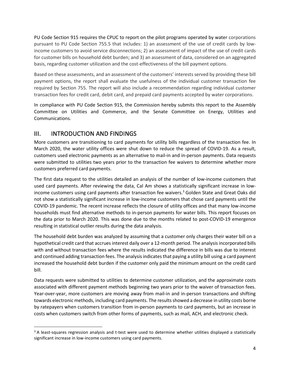PU Code Section 915 requires the CPUC to report on the pilot programs operated by water corporations pursuant to PU Code Section 755.5 that includes: 1) an assessment of the use of credit cards by lowincome customers to avoid service disconnections; 2) an assessment of impact of the use of credit cards for customer bills on household debt burden; and 3) an assessment of data, considered on an aggregated basis, regarding customer utilization and the cost-effectiveness of the bill payment options.

Based on these assessments, and an assessment of the customers' interests served by providing these bill payment options, the report shall evaluate the usefulness of the individual customer transaction fee required by Section 755. The report will also include a recommendation regarding individual customer transaction fees for credit card, debit card, and prepaid card payments accepted by water corporations.

In compliance with PU Code Section 915, the Commission hereby submits this report to the Assembly Committee on Utilities and Commerce, and the Senate Committee on Energy, Utilities and Communications.

## <span id="page-4-0"></span>III. INTRODUCTION AND FINDINGS

More customers are transitioning to card payments for utility bills regardless of the transaction fee. In March 2020, the water utility offices were shut down to reduce the spread of COVID-19. As a result, customers used electronic payments as an alternative to mail-in and in-person payments. Data requests were submitted to utilities two years prior to the transaction fee waivers to determine whether more customers preferred card payments.

The first data request to the utilities detailed an analysis of the number of low-income customers that used card payments. After reviewing the data, Cal Am shows a statistically significant increase in lowincome customers using card payments after transaction fee waivers.<sup>3</sup> Golden State and Great Oaks did not show a statistically significant increase in low-income customers that chose card payments until the COVID-19 pandemic. The recent increase reflects the closure of utility offices and that many low-income households must find alternative methods to in-person payments for water bills. This report focuses on the data prior to March 2020. This was done due to the months related to post-COVID-19 emergence resulting in statistical outlier results during the data analysis.

The household debt burden was analyzed by assuming that a customer only charges their water bill on a hypothetical credit card that accrues interest daily over a 12-month period. The analysis incorporated bills with and without transaction fees where the results indicated the difference in bills was due to interest and continued adding transaction fees. The analysis indicates that paying a utility bill using a card payment increased the household debt burden if the customer only paid the minimum amount on the credit card bill.

Data requests were submitted to utilities to determine customer utilization, and the approximate costs associated with different payment methods beginning two years prior to the waiver of transaction fees. Year-over-year, more customers are moving away from mail-in and in-person transactions and shifting towards electronic methods, including card payments. The resultsshowed a decrease in utility costs borne by ratepayers when customers transition from in-person payments to card payments, but an increase in costs when customers switch from other forms of payments, such as mail, ACH, and electronic check.

 $3$  A least-squares regression analysis and t-test were used to determine whether utilities displayed a statistically significant increase in low-income customers using card payments.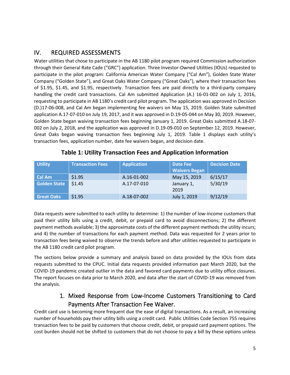# <span id="page-5-0"></span>IV. REQUIRED ASSESSMENTS

Water utilities that chose to participate in the AB 1180 pilot program required Commission authorization through their General Rate Cade ("GRC") application. Three Investor-Owned Utilities (IOUs) requested to participate in the pilot program: California American Water Company ("Cal Am"), Golden State Water Company ("Golden State"), and Great Oaks Water Company ("Great Oaks"), where their transaction fees of \$1.95, \$1.45, and \$1.95, respectively. Transaction fees are paid directly to a third-party company handling the credit card transactions. Cal Am submitted Application (A.) 16-01-002 on July 1, 2016, requesting to participate in AB 1180's credit card pilot program. The application was approved in Decision (D.)17-06-008, and Cal Am began implementing fee waivers on May 15, 2019. Golden State submitted application A.17-07-010 on July 19, 2017, and it was approved in D.19-05-044 on May 30, 2019. However, Golden State began waiving transaction fees beginning January 1, 2019. Great Oaks submitted A.18-07- 002 on July 2, 2018, and the application was approved in D.19-09-010 on September 12, 2019. However, Great Oaks began waiving transaction fees beginning July 1, 2019. [Table 1](#page-5-2) displays each utility's transaction fees, application number, date fee waivers began, and decision date.

<span id="page-5-2"></span>

| <b>Utility</b>      | <b>Transaction Fees</b> | <b>Application</b> | Date Fee<br><b>Waivers Began</b> | <b>Decision Date</b> |
|---------------------|-------------------------|--------------------|----------------------------------|----------------------|
| Cal Am              | \$1.95                  | A.16-01-002        | May 15, 2019                     | 6/15/17              |
| <b>Golden State</b> | \$1.45                  | A.17-07-010        | January 1,<br>2019               | 5/30/19              |
| <b>Great Oaks</b>   | \$1.95                  | A.18-07-002        | July 1, 2019                     | 9/12/19              |

#### **Table 1: Utility Transaction Fees and Application Information**

Data requests were submitted to each utility to determine: 1) the number of low-income customers that paid their utility bills using a credit, debit, or prepaid card to avoid disconnections; 2) the different payment methods available; 3) the approximate costs of the different payment methods the utility incurs; and 4) the number of transactions for each payment method. Data was requested for 2 years prior to transaction fees being waived to observe the trends before and after utilities requested to participate in the AB 1180 credit card pilot program.

The sections below provide a summary and analysis based on data provided by the IOUs from data requests submitted to the CPUC. Initial data requests provided information past March 2020, but the COVID-19 pandemic created outlier in the data and favored card payments due to utility office closures. The report focuses on data prior to March 2020, and data after the start of COVID-19 was removed from the analysis.

# 1. Mixed Response from Low-Income Customers Transitioning to Card Payments After Transaction Fee Waiver.

<span id="page-5-1"></span>Credit card use is becoming more frequent due the ease of digital transactions. As a result, an increasing number of households pay their utility bills using a credit card. Public Utilities Code Section 755 requires transaction fees to be paid by customers that choose credit, debit, or prepaid card payment options. The cost burden should not be shifted to customers that do not choose to pay a bill by these options unless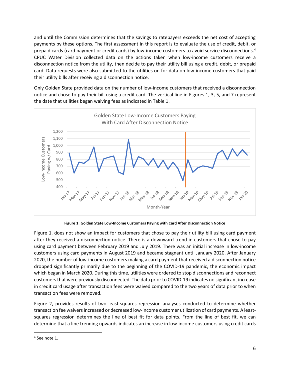and until the Commission determines that the savings to ratepayers exceeds the net cost of accepting payments by these options. The first assessment in this report is to evaluate the use of credit, debit, or prepaid cards (card payment or credit cards) by low-income customers to avoid service disconnections.<sup>4</sup> CPUC Water Division collected data on the actions taken when low-income customers receive a disconnection notice from the utility, then decide to pay their utility bill using a credit, debit, or prepaid card. Data requests were also submitted to the utilities on for data on low-income customers that paid their utility bills after receiving a disconnection notice.

Only Golden State provided data on the number of low-income customers that received a disconnection notice and chose to pay their bill using a credit card. The vertical line in Figures 1, 3, 5, and 7 represent the date that utilities began waiving fees as indicated in Table 1.



**Figure 1: Golden State Low-Income Customers Paying with Card After Disconnection Notice**

<span id="page-6-0"></span>[Figure 1,](#page-6-0) does not show an impact for customers that chose to pay their utility bill using card payment after they received a disconnection notice. There is a downward trend in customers that chose to pay using card payment between February 2019 and July 2019. There was an initial increase in low-income customers using card payments in August 2019 and became stagnant until January 2020. After January 2020, the number of low-income customers making a card payment that received a disconnection notice dropped significantly primarily due to the beginning of the COVID-19 pandemic, the economic impact which began in March 2020. During this time, utilities were ordered to stop disconnections and reconnect customers that were previously disconnected. The data prior to COVID-19 indicates no significant increase in credit card usage after transaction fees were waived compared to the two years of data prior to when transaction fees were removed.

[Figure 2,](#page-7-0) provides results of two least-squares regression analyses conducted to determine whether transaction fee waivers increased or decreased low-income customer utilization of card payments. A leastsquares regression determines the line of best fit for data points. From the line of best fit, we can determine that a line trending upwards indicates an increase in low-income customers using credit cards

<sup>4</sup> See not[e 1.](#page-3-2)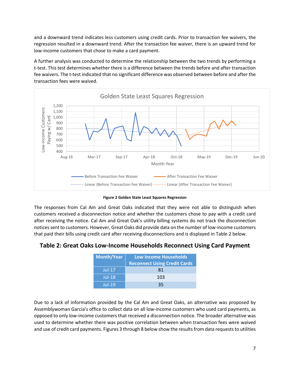and a downward trend indicates less customers using credit cards. Prior to transaction fee waivers, the regression resulted in a downward trend. After the transaction fee waiver, there is an upward trend for low-income customers that chose to make a card payment.

A further analysis was conducted to determine the relationship between the two trends by performing a t-test. This test determines whether there is a difference between the trends before and after transaction fee waivers. The t-test indicated that no significant difference was observed between before and after the transaction fees were waived.



**Figure 2 Golden State Least Squares Regression**

<span id="page-7-0"></span>The responses from Cal Am and Great Oaks indicated that they were not able to distinguish when customers received a disconnection notice and whether the customers chose to pay with a credit card after receiving the notice. Cal Am and Great Oak's utility billing systems do not track the disconnection notices sent to customers. However, Great Oaks did provide data on the number of low-income customers that paid their bills using credit card after receiving disconnections and is displayed in [Table 2](#page-7-1) below.

#### <span id="page-7-1"></span>**Table 2: Great Oaks Low-Income Households Reconnect Using Card Payment**

| <b>Month/Year</b> | <b>Low Income Households</b>        |  |  |  |  |  |  |  |
|-------------------|-------------------------------------|--|--|--|--|--|--|--|
|                   | <b>Reconnect Using Credit Cards</b> |  |  |  |  |  |  |  |
| $Jul-17$          | 81                                  |  |  |  |  |  |  |  |
| $Jul-18$          | 103                                 |  |  |  |  |  |  |  |
| Jul-19            | ユト                                  |  |  |  |  |  |  |  |

Due to a lack of information provided by the Cal Am and Great Oaks, an alternative was proposed by Assemblywoman Garcia's office to collect data on all low-income customers who used card payments, as opposed to only low-income customers that received a disconnection notice. The broader alternative was used to determine whether there was positive correlation between when transaction fees were waived and use of credit card payments. Figures 3 through 8 below show the results from data requests to utilities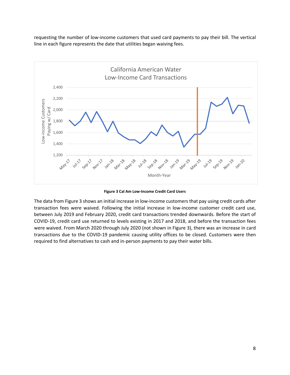requesting the number of low-income customers that used card payments to pay their bill. The vertical line in each figure represents the date that utilities began waiving fees.



**Figure 3 Cal Am Low-Income Credit Card Users**

<span id="page-8-0"></span>The data from [Figure 3](#page-8-0) shows an initial increase in low-income customers that pay using credit cards after transaction fees were waived. Following the initial increase in low-income customer credit card use, between July 2019 and February 2020, credit card transactions trended downwards. Before the start of COVID-19, credit card use returned to levels existing in 2017 and 2018, and before the transaction fees were waived. From March 2020 through July 2020 (not shown in Figure 3), there was an increase in card transactions due to the COVID-19 pandemic causing utility offices to be closed. Customers were then required to find alternatives to cash and in-person payments to pay their water bills.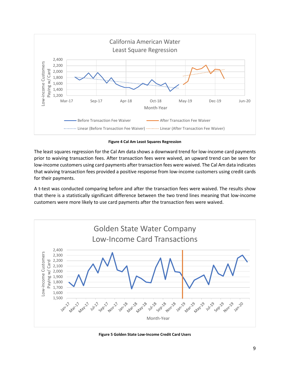

**Figure 4 Cal Am Least Squares Regression**

The least squares regression for the Cal Am data shows a downward trend for low-income card payments prior to waiving transaction fees. After transaction fees were waived, an upward trend can be seen for low-income customers using card payments after transaction fees were waived. The Cal Am data indicates that waiving transaction fees provided a positive response from low-income customers using credit cards for their payments.

A t-test was conducted comparing before and after the transaction fees were waived. The results show that there is a statistically significant difference between the two trend lines meaning that low-income customers were more likely to use card payments after the transaction fees were waived.



<span id="page-9-0"></span>**Figure 5 Golden State Low-Income Credit Card Users**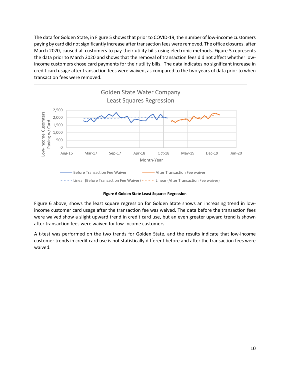The data for Golden State, in [Figure 5](#page-9-0) shows that prior to COVID-19, the number of low-income customers paying by card did not significantly increase after transaction fees were removed. The office closures, after March 2020, caused all customers to pay their utility bills using electronic methods. [Figure 5](#page-9-0) represents the data prior to March 2020 and shows that the removal of transaction fees did not affect whether lowincome customers chose card payments for their utility bills. The data indicates no significant increase in credit card usage after transaction fees were waived, as compared to the two years of data prior to when transaction fees were removed.



**Figure 6 Golden State Least Squares Regression**

Figure 6 above, shows the least square regression for Golden State shows an increasing trend in lowincome customer card usage after the transaction fee was waived. The data before the transaction fees were waived show a slight upward trend in credit card use, but an even greater upward trend is shown after transaction fees were waived for low-income customers.

A t-test was performed on the two trends for Golden State, and the results indicate that low-income customer trends in credit card use is not statistically different before and after the transaction fees were waived.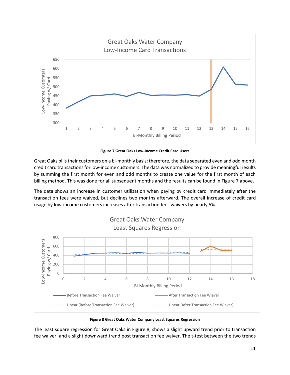

**Figure 7 Great Oaks Low-Income Credit Card Users**

<span id="page-11-0"></span>Great Oaks bills their customers on a bi-monthly basis; therefore, the data separated even and odd month credit card transactions for low-income customers. The data was normalized to provide meaningful results by summing the first month for even and odd months to create one value for the first month of each billing method. This was done for all subsequent months and the results can be found in [Figure 7](#page-11-0) above.

The data shows an increase in customer utilization when paying by credit card immediately after the transaction fees were waived, but declines two months afterward. The overall increase of credit card usage by low-income customers increases after transaction fees waivers by nearly 5%.



**Figure 8 Great Oaks Water Company Least Squares Regression**

The least square regression for Great Oaks in Figure 8, shows a slight upward trend prior to transaction fee waiver, and a slight downward trend post transaction fee waiver. The t-test between the two trends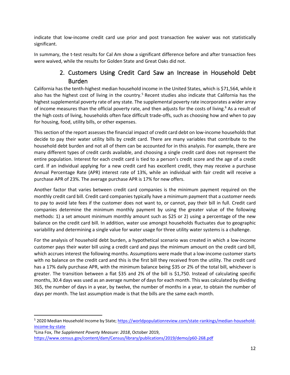indicate that low-income credit card use prior and post transaction fee waiver was not statistically significant.

In summary, the t-test results for Cal Am show a significant difference before and after transaction fees were waived, while the results for Golden State and Great Oaks did not.

# 2. Customers Using Credit Card Saw an Increase in Household Debt Burden

<span id="page-12-0"></span>California has the tenth-highest median household income in the United States, which is \$71,564, while it also has the highest cost of living in the country.<sup>5</sup> Recent studies also indicate that California has the highest supplemental poverty rate of any state. The supplemental poverty rate incorporates a wider array of income measures than the official poverty rate, and then adjusts for the costs of living.<sup>6</sup> As a result of the high costs of living, households often face difficult trade-offs, such as choosing how and when to pay for housing, food, utility bills, or other expenses.

This section of the report assesses the financial impact of credit card debt on low-income households that decide to pay their water utility bills by credit card. There are many variables that contribute to the household debt burden and not all of them can be accounted for in this analysis. For example, there are many different types of credit cards available, and choosing a single credit card does not represent the entire population. Interest for each credit card is tied to a person's credit score and the age of a credit card. If an individual applying for a new credit card has excellent credit, they may receive a purchase Annual Percentage Rate (APR) interest rate of 13%, while an individual with fair credit will receive a purchase APR of 23%. The average purchase APR is 17% for new offers.

Another factor that varies between credit card companies is the minimum payment required on the monthly credit card bill. Credit card companies typically have a minimum payment that a customer needs to pay to avoid late fees if the customer does not want to, or cannot, pay their bill in full. Credit card companies determine the minimum monthly payment by using the greater value of the following methods: 1) a set amount minimum monthly amount such as \$25 or 2) using a percentage of the new balance on the credit card bill. In addition, water use amongst households fluctuates due to geographic variability and determining a single value for water usage for three utility water systems is a challenge.

For the analysis of household debt burden, a hypothetical scenario was created in which a low-income customer pays their water bill using a credit card and pays the minimum amount on the credit card bill, which accrues interest the following months. Assumptions were made that a low-income customer starts with no balance on the credit card and this is the first bill they received from the utility. The credit card has a 17% daily purchase APR, with the minimum balance being \$35 or 2% of the total bill, whichever is greater. The transition between a flat \$35 and 2% of the bill is \$1,750. Instead of calculating specific months, 30.4 days was used as an average number of days for each month. This was calculated by dividing 365, the number of days in a year, by twelve, the number of months in a year, to obtain the number of days per month. The last assumption made is that the bills are the same each month.

<sup>5 2020</sup> Median Household Income by State[; https://worldpopulationreview.com/state-rankings/median-household](https://worldpopulationreview.com/state-rankings/median-household-income-by-state)[income-by-state](https://worldpopulationreview.com/state-rankings/median-household-income-by-state)

<sup>6</sup> Lina Fox, *The Supplement Poverty Measure: 2018*, October 2019, <https://www.census.gov/content/dam/Census/library/publications/2019/demo/p60-268.pdf>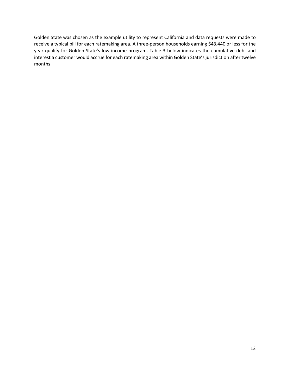Golden State was chosen as the example utility to represent California and data requests were made to receive a typical bill for each ratemaking area. A three-person households earning \$43,440 or less for the year qualify for Golden State's low-income program. Table 3 below indicates the cumulative debt and interest a customer would accrue for each ratemaking area within Golden State's jurisdiction after twelve months: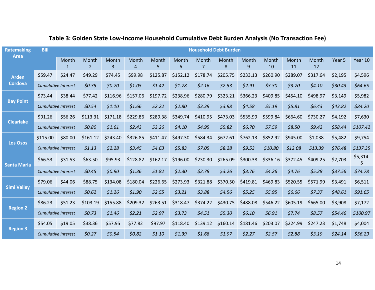| <b>Ratemaking</b><br><b>Area</b> | <b>Bill</b>                |             |                         |            |            |            |            |            | <b>Household Debt Burden</b> |            |             |             |             |                   |          |
|----------------------------------|----------------------------|-------------|-------------------------|------------|------------|------------|------------|------------|------------------------------|------------|-------------|-------------|-------------|-------------------|----------|
|                                  |                            | Month<br>-1 | Month<br>$\overline{2}$ | Month<br>3 | Month<br>4 | Month<br>5 | Month<br>6 | Month<br>7 | Month<br>8                   | Month<br>9 | Month<br>10 | Month<br>11 | Month<br>12 | Year <sub>5</sub> | Year 10  |
| <b>Arden</b>                     | \$59.47                    | \$24.47     | \$49.29                 | \$74.45    | \$99.98    | \$125.87   | \$152.12   | \$178.74   | \$205.75                     | \$233.13   | \$260.90    | \$289.07    | \$317.64    | \$2,195           | \$4,596  |
| <b>Cordova</b>                   | <b>Cumulative Interest</b> |             | \$0.35                  | \$0.70     | \$1.05     | \$1.42     | \$1.78     | \$2.16     | \$2.53                       | \$2.91     | \$3.30      | \$3.70      | \$4.10      | \$30.43           | \$64.65  |
| <b>Bay Point</b>                 | \$73.44                    | \$38.44     | \$77.42                 | \$116.96   | \$157.06   | \$197.72   | \$238.96   | \$280.79   | \$323.21                     | \$366.23   | \$409.85    | \$454.10    | \$498.97    | \$3,149           | \$5,982  |
|                                  | <b>Cumulative Interest</b> |             | \$0.54                  | \$1.10     | \$1.66     | \$2.22     | \$2.80     | \$3.39     | \$3.98                       | \$4.58     | \$5.19      | \$5.81      | \$6.43      | \$43.82           | \$84.20  |
| <b>Clearlake</b>                 | \$91.26                    | \$56.26     | \$113.31                | \$171.18   | \$229.86   | \$289.38   | \$349.74   | \$410.95   | \$473.03                     | \$535.99   | \$599.84    | \$664.60    | \$730.27    | \$4,192           | \$7,630  |
|                                  | <b>Cumulative Interest</b> |             | \$0.80                  | \$1.61     | \$2.43     | \$3.26     | \$4.10     | \$4.95     | \$5.82                       | \$6.70     | \$7.59      | \$8.50      | \$9.42      | \$58.44           | \$107.42 |
|                                  | \$115.00                   | \$80.00     | \$161.12                | \$243.40   | \$326.85   | \$411.47   | \$497.30   | \$584.34   | \$672.61                     | \$762.13   | \$852.92    | \$945.00    | \$1,038     | \$5,482           | \$9,754  |
| <b>Los Osos</b>                  | <b>Cumulative Interest</b> |             | \$1.13                  | \$2.28     | \$3.45     | \$4.63     | \$5.83     | \$7.05     | \$8.28                       | \$9.53     | \$10.80     | \$12.08     | \$13.39     | \$76.48           | \$137.35 |
| <b>Santa Maria</b>               | \$66.53                    | \$31.53     | \$63.50                 | \$95.93    | \$128.82   | \$162.17   | \$196.00   | \$230.30   | \$265.09                     | \$300.38   | \$336.16    | \$372.45    | \$409.25    | \$2,703           | \$5,314. |
|                                  | Cumulative Interest        |             | \$0.45                  | \$0.90     | \$1.36     | \$1.82     | \$2.30     | \$2.78     | \$3.26                       | \$3.76     | \$4.26      | \$4.76      | \$5.28      | \$37.56           | \$74.78  |
| <b>Simi Valley</b>               | \$79.06                    | \$44.06     | \$88.75                 | \$134.08   | \$180.04   | \$226.65   | \$273.93   | \$321.88   | \$370.50                     | \$419.81   | \$469.83    | \$520.55    | \$571.99    | \$3,491           | \$6,511  |
|                                  | <b>Cumulative Interest</b> |             | \$0.62                  | \$1.26     | \$1.90     | \$2.55     | \$3.21     | \$3.88     | \$4.56                       | \$5.25     | \$5.95      | \$6.66      | \$7.37      | \$48.61           | \$91.65  |
|                                  | \$86.23                    | \$51.23     | \$103.19                | \$155.88   | \$209.32   | \$263.51   | \$318.47   | \$374.22   | \$430.75                     | \$488.08   | \$546.22    | \$605.19    | \$665.00    | \$3,908           | \$7,172  |
| <b>Region 2</b>                  | <b>Cumulative Interest</b> |             | \$0.73                  | \$1.46     | \$2.21     | \$2.97     | 53.73      | \$4.51     | \$5.30                       | \$6.10     | \$6.91      | \$7.74      | \$8.57      | \$54.46           | \$100.97 |
|                                  | \$54.05                    | \$19.05     | \$38.36                 | \$57.95    | \$77.82    | \$97.97    | \$118.40   | \$139.12   | \$160.14                     | \$181.46   | \$203.07    | \$224.99    | \$247.23    | \$1,748           | \$4,004  |
| <b>Region 3</b>                  | <b>Cumulative Interest</b> |             | \$0.27                  | \$0.54     | \$0.82     | \$1.10     | \$1.39     | \$1.68     | \$1.97                       | \$2.27     | \$2.57      | \$2.88      | 53.19       | \$24.14           | \$56.29  |

# **Table 3: Golden State Low-Income Household Cumulative Debt Burden Analysis (No Transaction Fee)**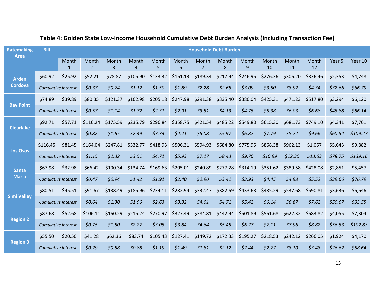| <b>Ratemaking</b><br><b>Area</b> | <b>Bill</b>                |                            |                         |            |                                 |            |            | <b>Household Debt Burden</b> |            |            |             |             |             |         |          |
|----------------------------------|----------------------------|----------------------------|-------------------------|------------|---------------------------------|------------|------------|------------------------------|------------|------------|-------------|-------------|-------------|---------|----------|
|                                  |                            | Month<br>$\mathbf{1}$      | Month<br>$\overline{2}$ | Month<br>3 | Month<br>$\boldsymbol{\Lambda}$ | Month<br>5 | Month<br>6 | Month<br>$\overline{7}$      | Month<br>8 | Month<br>9 | Month<br>10 | Month<br>11 | Month<br>12 | Year 5  | Year 10  |
| <b>Arden</b>                     | \$60.92                    | \$25.92                    | \$52.21                 | \$78.87    | \$105.90                        | \$133.32   | \$161.13   | \$189.34                     | \$217.94   | \$246.95   | \$276.36    | \$306.20    | \$336.46    | \$2,353 | \$4,748  |
| <b>Cordova</b>                   | <b>Cumulative Interest</b> |                            | \$0.37                  | \$0.74     | \$1.12                          | \$1.50     | \$1.89     | \$2.28                       | \$2.68     | \$3.09     | \$3.50      | \$3.92      | \$4.34      | \$32.66 | \$66.79  |
|                                  | \$74.89                    | \$39.89                    | \$80.35                 | \$121.37   | \$162.98                        | \$205.18   | \$247.98   | \$291.38                     | \$335.40   | \$380.04   | \$425.31    | \$471.23    | \$517.80    | \$3,294 | \$6,120  |
| <b>Bay Point</b>                 | Cumulative Interest        |                            | \$0.57                  | \$1.14     | \$1.72                          | \$2.31     | \$2.91     | 53.51                        | 54.13      | 54.75      | \$5.38      | \$6.03      | \$6.68      | \$45.88 | \$86.14  |
|                                  | \$92.71                    | \$57.71                    | \$116.24                | \$175.59   | \$235.79                        | \$296.84   | \$358.75   | \$421.54                     | \$485.22   | \$549.80   | \$615.30    | \$681.73    | \$749.10    | \$4,341 | \$7,761  |
| <b>Clearlake</b>                 | <b>Cumulative Interest</b> |                            | \$0.82                  | \$1.65     | \$2.49                          | \$3.34     | \$4.21     | \$5.08\$                     | \$5.97     | \$6.87     | \$7.79      | \$8.72      | \$9.66      | \$60.54 | \$109.27 |
|                                  | \$116.45                   | \$81.45                    | \$164.04                | \$247.81   | \$332.77                        | \$418.93   | \$506.31   | \$594.93                     | \$684.80   | \$775.95   | \$868.38    | \$962.13    | \$1,057     | \$5,643 | \$9,882  |
| <b>Los Osos</b>                  | <b>Cumulative Interest</b> |                            | \$1.15                  | \$2.32     | \$3.51                          | \$4.71     | \$5.93     | \$7.17                       | \$8.43     | \$9.70     | \$10.99     | \$12.30     | \$13.63     | \$78.75 | \$139.16 |
| <b>Santa</b>                     | \$67.98                    | \$32.98                    | \$66.42                 | \$100.34   | \$134.74                        | \$169.63   | \$205.01   | \$240.89                     | \$277.28   | \$314.19   | \$351.62    | \$389.58    | \$428.08    | \$2,851 | \$5,457  |
| <b>Maria</b>                     | <b>Cumulative Interest</b> |                            | \$0.47                  | \$0.94     | \$1.42                          | \$1.91     | \$2.40     | \$2.90                       | 53.41      | 53.93      | 54.45       | \$4.98      | \$5.52      | \$39.66 | \$76.79  |
|                                  | \$80.51                    | \$45.51                    | \$91.67                 | \$138.49   | \$185.96                        | \$234.11   | \$282.94   | \$332.47                     | \$382.69   | \$433.63   | \$485.29    | \$537.68    | \$590.81    | \$3,636 | \$6,646  |
| <b>Simi Valley</b>               | <b>Cumulative Interest</b> |                            | \$0.64                  | \$1.30     | \$1.96                          | \$2.63     | 53.32      | \$4.01                       | 54.71      | 55.42      | \$6.14      | \$6.87      | \$7.62      | \$50.67 | \$93.55  |
|                                  | \$87.68                    | \$52.68                    | \$106.11                | \$160.29   | \$215.24                        | \$270.97   | \$327.49   | \$384.81                     | \$442.94   | \$501.89   | \$561.68    | \$622.32    | \$683.82    | \$4,055 | \$7,304  |
| <b>Region 2</b>                  |                            | <b>Cumulative Interest</b> | \$0.75                  | \$1.50     | \$2.27                          | \$3.05     | \$3.84     | \$4.64                       | \$5.45     | \$6.27     | \$7.11      | \$7.96      | \$8.82      | \$56.53 | \$102.83 |
|                                  | \$55.50                    | \$20.50                    | \$41.28                 | \$62.36    | \$83.74                         | \$105.43   | \$127.41   | \$149.72                     | \$172.33   | \$195.27   | \$218.53    | \$242.12    | \$266.05    | \$1,924 | \$4,170  |
| <b>Region 3</b>                  | <b>Cumulative Interest</b> |                            | \$0.29                  | \$0.58     | \$0.88                          | \$1.19     | \$1.49     | \$1.81                       | \$2.12     | \$2.44     | \$2.77      | \$3.10      | 53.43       | \$26.62 | \$58.64  |

# **Table 4: Golden State Low-Income Household Cumulative Debt Burden Analysis (Including Transaction Fee)**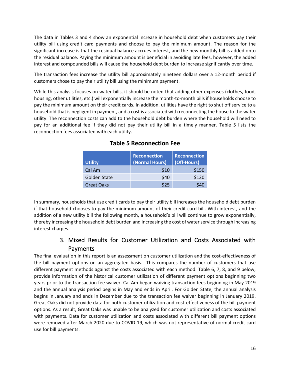The data in Tables 3 and 4 show an exponential increase in household debt when customers pay their utility bill using credit card payments and choose to pay the minimum amount. The reason for the significant increase is that the residual balance accrues interest, and the new monthly bill is added onto the residual balance. Paying the minimum amount is beneficial in avoiding late fees, however, the added interest and compounded bills will cause the household debt burden to increase significantly over time.

The transaction fees increase the utility bill approximately nineteen dollars over a 12-month period if customers chose to pay their utility bill using the minimum payment.

<span id="page-16-1"></span>While this analysis focuses on water bills, it should be noted that adding other expenses (clothes, food, housing, other utilities, etc.) will exponentially increase the month-to-month bills if households choose to pay the minimum amount on their credit cards. In addition, utilities have the right to shut off service to a household that is negligent in payment, and a cost is associated with reconnecting the house to the water utility. The reconnection costs can add to the household debt burden where the household will need to pay for an additional fee if they did not pay their utility bill in a timely manner. [Table 5](#page-16-1) lists the reconnection fees associated with each utility.

| <b>Utility</b>      | <b>Reconnection</b><br>(Normal Hours) | <b>Reconnection</b><br>(Off-Hours) |
|---------------------|---------------------------------------|------------------------------------|
| Cal Am              | \$10                                  | \$150                              |
| <b>Golden State</b> | \$40                                  | \$120                              |
| <b>Great Oaks</b>   | \$25                                  |                                    |

|  |  |  | <b>Table 5 Reconnection Fee</b> |  |
|--|--|--|---------------------------------|--|
|--|--|--|---------------------------------|--|

In summary, households that use credit cards to pay their utility bill increases the household debt burden if that household chooses to pay the minimum amount of their credit card bill. With interest, and the addition of a new utility bill the following month, a household's bill will continue to grow exponentially, thereby increasing the household debt burden and increasing the cost of water service through increasing interest charges.

# 3. Mixed Results for Customer Utilization and Costs Associated with Payments

<span id="page-16-0"></span>The final evaluation in this report is an assessment on customer utilization and the cost-effectiveness of the bill payment options on an aggregated basis. This compares the number of customers that use different payment methods against the costs associated with each method. [Table 6,](#page-17-0) 7, 8, and 9 below, provide information of the historical customer utilization of different payment options beginning two years prior to the transaction fee waiver. Cal Am began waiving transaction fees beginning in May 2019 and the annual analysis period begins in May and ends in April. For Golden State, the annual analysis begins in January and ends in December due to the transaction fee waiver beginning in January 2019. Great Oaks did not provide data for both customer utilization and cost-effectiveness of the bill payment options. As a result, Great Oaks was unable to be analyzed for customer utilization and costs associated with payments. Data for customer utilization and costs associated with different bill payment options were removed after March 2020 due to COVID-19, which was not representative of normal credit card use for bill payments.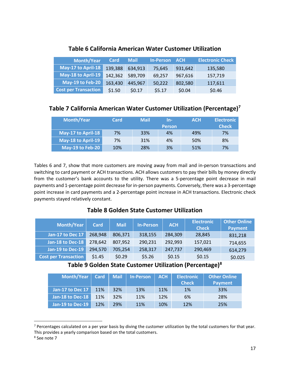<span id="page-17-0"></span>

| <b>Month/Year</b>           | Card    | <b>Mail</b> | <b>In-Person</b> | <b>ACH</b> | <b>Electronic Check</b> |
|-----------------------------|---------|-------------|------------------|------------|-------------------------|
| May-17 to April-18          | 139,388 | 634,913     | 75,645           | 931,642    | 135,580                 |
| May-18 to April-19          | 142,362 | 589,709     | 69,257           | 967,616    | 157,719                 |
| May-19 to Feb-20            | 163,430 | 445,967     | 50,222           | 802,580    | 117,611                 |
| <b>Cost per Transaction</b> | \$1.50  | \$0.17      | \$5.17           | \$0.04     | \$0.46                  |

## **Table 6 California American Water Customer Utilization**

## **Table 7 California American Water Customer Utilization (Percentage)<sup>7</sup>**

| <b>Month/Year</b>  | Card | <b>Mail</b> | In-           | <b>ACH</b> | <b>Electronic</b> |
|--------------------|------|-------------|---------------|------------|-------------------|
|                    |      |             | <b>Person</b> |            | <b>Check</b>      |
| May-17 to April-18 | 7%   | 33%         | 4%            | 49%        | 7%                |
| May-18 to April-19 | 7%   | 31%         | 4%            | 50%        | 8%                |
| May-19 to Feb-20   | 10%  | 28%         | 3%            | 51%        | 7%                |

Tables 6 and 7, show that more customers are moving away from mail and in-person transactions and switching to card payment or ACH transactions. ACH allows customers to pay their bills by money directly from the customer's bank accounts to the utility. There was a 5-percentage point decrease in mail payments and 1-percentage point decrease for in-person payments. Conversely, there was a 3-percentage point increase in card payments and a 2-percentage point increase in ACH transactions. Electronic check payments stayed relatively constant.

## **Table 8 Golden State Customer Utilization**

| <b>Month/Year</b>           | <b>Card</b> | <b>Mail</b> | <b>In-Person</b> | <b>ACH</b> | <b>Electronic</b><br><b>Check</b> | <b>Other Online</b><br><b>Payment</b> |
|-----------------------------|-------------|-------------|------------------|------------|-----------------------------------|---------------------------------------|
| Jan-17 to Dec 17            | 268,948     | 806,371     | 318,155          | 284,309    | 28.845                            | 831,218                               |
| Jan-18 to Dec-18            | 278,642     | 807,952     | 290,231          | 292,993    | 157,021                           | 714,655                               |
| Jan-19 to Dec-19            | 294,570     | 705,254     | 258,317          | 247,737    | 290,469                           | 614,279                               |
| <b>Cost per Transaction</b> | \$1.45      | \$0.29      | \$5.26           | \$0.15     | \$0.15                            | \$0.025                               |

## **Table 9 Golden State Customer Utilization (Percentage)<sup>8</sup>**

| <b>Month/Year</b> | <b>Card</b> | <b>Mail</b> | <b>In-Person</b> | <b>ACH</b> | <b>Electronic</b><br><b>Check</b> | <b>Other Online</b><br><b>Payment</b> |
|-------------------|-------------|-------------|------------------|------------|-----------------------------------|---------------------------------------|
| Jan-17 to Dec 17  | 11%         | 32%         | 13%              | 11%        | 1%                                | 33%                                   |
| Jan-18 to Dec-18  | 11%         | 32%         | 11%              | 12%        | 6%                                | 28%                                   |
| Jan-19 to Dec-19  | 12%         | 29%         | 11%              | 10%        | 12%                               | 25%                                   |

 $<sup>7</sup>$  Percentages calculated on a per year basis by diving the customer utilization by the total customers for that year.</sup> This provides a yearly comparison based on the total customers.

<sup>8</sup> See note 7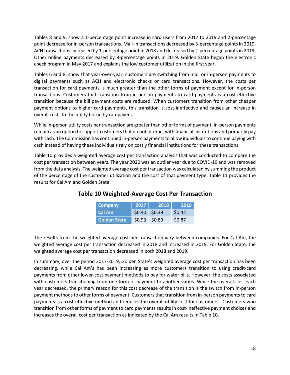Tables 8 and 9, show a 1-percentage point increase in card users from 2017 to 2019 and 2-percentage point decrease for in-person transactions. Mail-in transactions decreased by 3-percentage points in 2019. ACH transactions increased by 1-percentage point in 2018 and decreased by 2-percentage points in 2019. Other online payments decreased by 8-percentage points in 2019. Golden State began the electronic check program in May 2017 and explains the low customer utilization in the first year.

Tables 6 and 8, show that year-over-year, customers are switching from mail or in-person payments to digital payments such as ACH and electronic checks or card transactions. However, the costs per transaction for card payments is much greater than the other forms of payment except for in-person transactions. Customers that transition from in-person payments to card payments is a cost-effective transition because the bill payment costs are reduced. When customers transition from other cheaper payment options to higher card payments, this transition is cost-ineffective and causes an increase in overall costs to the utility borne by ratepayers.

While in-person utility costs per transaction are greater than other forms of payment, in-person payments remain as an option to support customers that do not interact with financial institutions and primarily pay with cash. The Commission has continued in-person payments to allow individuals to continue paying with cash instead of having these individuals rely on costly financial institutions for these transactions.

<span id="page-18-0"></span>[Table 10](#page-18-0) provides a weighted average cost per transaction analysis that was conducted to compare the cost per transaction between years. The year 2020 was an outlier year due to COVID-19 and was removed from the data analysis. The weighted average cost per transaction was calculated by summing the product of the percentage of the customer utilization and the cost of that payment type. Table 11 provides the results for Cal Am and Golden State.

| <b>Company</b>      | 2017            | 2018 | 2019   |
|---------------------|-----------------|------|--------|
| Cal Am              | $$0.40$ $$0.39$ |      | \$0.42 |
| <b>Golden State</b> | $$0.93$ $$0.89$ |      | \$0.87 |

## **Table 10 Weighted-Average Cost Per Transaction**

The results from the weighted average cost per transaction vary between companies. For Cal Am, the weighted average cost per transaction decreased in 2018 and increased in 2019. For Golden State, the weighted average cost per transaction decreased in both 2018 and 2019.

In summary, over the period 2017-2019, Golden State's weighted average cost per transaction has been decreasing, while Cal Am's has been increasing as more customers transition to using credit-card payments from other lower-cost payment methods to pay for water bills. However, the costs associated with customers transitioning from one form of payment to another varies. While the overall cost each year decreased, the primary reason for this cost decrease of the transition is the switch from in-person payment methods to other forms of payment. Customers that transition from in-person payments to card payments is a cost-effective method and reduces the overall utility cost for customers. Customers who transition from other forms of payment to card payments results in cost-ineffective payment choices and increases the overall cost per transaction as indicated by the Cal Am results in Table 10.